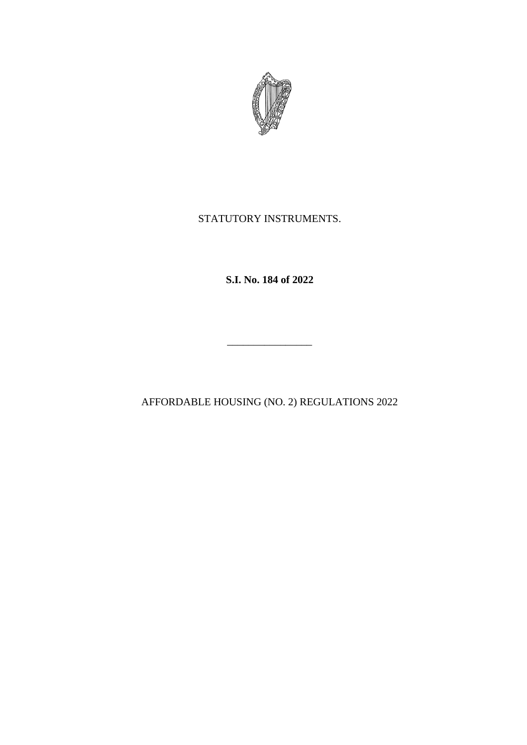

# STATUTORY INSTRUMENTS.

**S.I. No. 184 of 2022**

AFFORDABLE HOUSING (NO. 2) REGULATIONS 2022

\_\_\_\_\_\_\_\_\_\_\_\_\_\_\_\_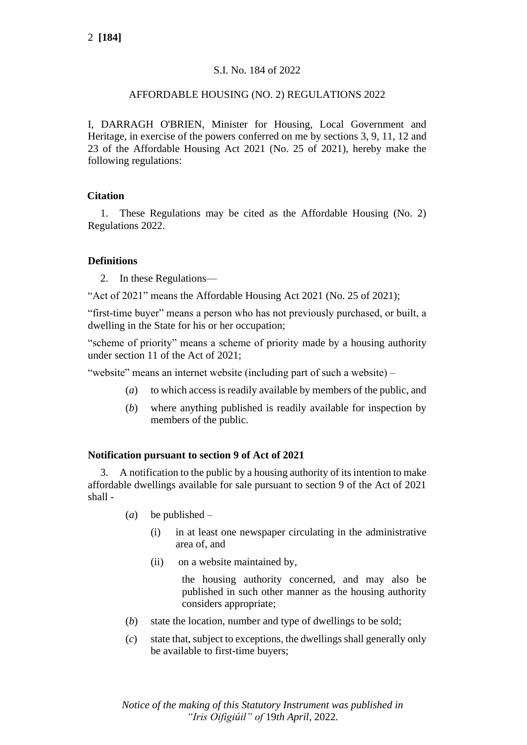# S.I. No. 184 of 2022

## AFFORDABLE HOUSING (NO. 2) REGULATIONS 2022

I, DARRAGH O'BRIEN, Minister for Housing, Local Government and Heritage, in exercise of the powers conferred on me by sections 3, 9, 11, 12 and 23 of the Affordable Housing Act 2021 (No. 25 of 2021), hereby make the following regulations:

## **Citation**

1. These Regulations may be cited as the Affordable Housing (No. 2) Regulations 2022.

## **Definitions**

2. In these Regulations—

"Act of 2021" means the [Affordable Housing Act 2021](http://www.irishstatutebook.ie/eli/2021/act/25/enacted/en/pdf) (No. 25 of 2021);

"first-time buyer" means a person who has not previously purchased, or built, a dwelling in the State for his or her occupation;

"scheme of priority" means a scheme of priority made by a housing authority under section 11 of the Act of 2021;

"website" means an internet website (including part of such a website) –

- (*a*) to which access is readily available by members of the public, and
- (*b*) where anything published is readily available for inspection by members of the public.

## **Notification pursuant to section 9 of Act of 2021**

3. A notification to the public by a housing authority of its intention to make affordable dwellings available for sale pursuant to section 9 of the Act of 2021 shall -

- (*a*) be published
	- (i) in at least one newspaper circulating in the administrative area of, and
	- (ii) on a website maintained by,

the housing authority concerned, and may also be published in such other manner as the housing authority considers appropriate;

- (*b*) state the location, number and type of dwellings to be sold;
- (*c*) state that, subject to exceptions, the dwellings shall generally only be available to first-time buyers;

*Notice of the making of this Statutory Instrument was published in "Iris Oifigiúil" of* 19*th April,* 2022*.*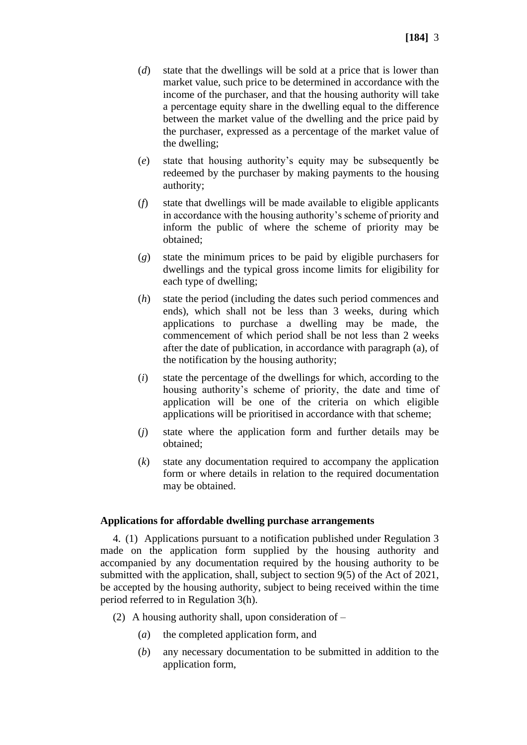- (*d*) state that the dwellings will be sold at a price that is lower than market value, such price to be determined in accordance with the income of the purchaser, and that the housing authority will take a percentage equity share in the dwelling equal to the difference between the market value of the dwelling and the price paid by the purchaser, expressed as a percentage of the market value of the dwelling;
- (*e*) state that housing authority's equity may be subsequently be redeemed by the purchaser by making payments to the housing authority;
- (*f*) state that dwellings will be made available to eligible applicants in accordance with the housing authority's scheme of priority and inform the public of where the scheme of priority may be obtained;
- (*g*) state the minimum prices to be paid by eligible purchasers for dwellings and the typical gross income limits for eligibility for each type of dwelling;
- (*h*) state the period (including the dates such period commences and ends), which shall not be less than 3 weeks, during which applications to purchase a dwelling may be made, the commencement of which period shall be not less than 2 weeks after the date of publication, in accordance with paragraph (a), of the notification by the housing authority;
- (*i*) state the percentage of the dwellings for which, according to the housing authority's scheme of priority, the date and time of application will be one of the criteria on which eligible applications will be prioritised in accordance with that scheme;
- (*j*) state where the application form and further details may be obtained;
- (*k*) state any documentation required to accompany the application form or where details in relation to the required documentation may be obtained.

## **Applications for affordable dwelling purchase arrangements**

4. (1) Applications pursuant to a notification published under Regulation 3 made on the application form supplied by the housing authority and accompanied by any documentation required by the housing authority to be submitted with the application, shall, subject to section 9(5) of the Act of 2021, be accepted by the housing authority, subject to being received within the time period referred to in Regulation 3(h).

- (2) A housing authority shall, upon consideration of
	- (*a*) the completed application form, and
	- (*b*) any necessary documentation to be submitted in addition to the application form,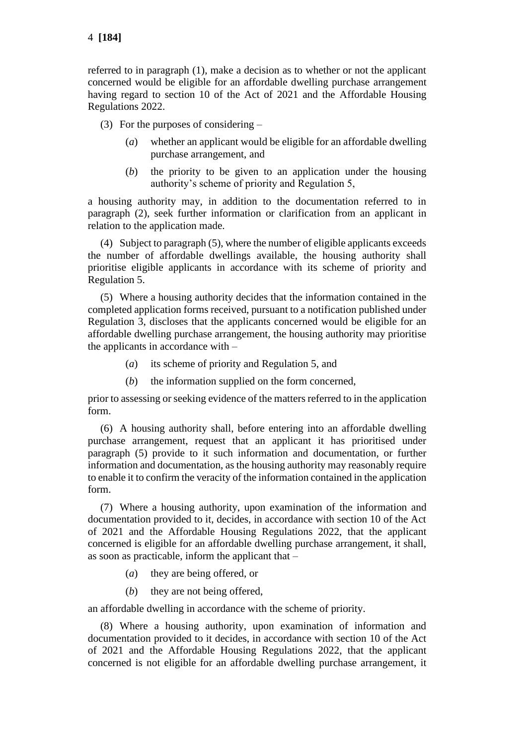referred to in paragraph (1), make a decision as to whether or not the applicant concerned would be eligible for an affordable dwelling purchase arrangement having regard to section 10 of the Act of 2021 and the Affordable Housing Regulations 2022.

(3) For the purposes of considering –

- (*a*) whether an applicant would be eligible for an affordable dwelling purchase arrangement, and
- (*b*) the priority to be given to an application under the housing authority's scheme of priority and Regulation 5,

a housing authority may, in addition to the documentation referred to in paragraph (2), seek further information or clarification from an applicant in relation to the application made.

(4) Subject to paragraph (5), where the number of eligible applicants exceeds the number of affordable dwellings available, the housing authority shall prioritise eligible applicants in accordance with its scheme of priority and Regulation 5.

(5) Where a housing authority decides that the information contained in the completed application forms received, pursuant to a notification published under Regulation 3, discloses that the applicants concerned would be eligible for an affordable dwelling purchase arrangement, the housing authority may prioritise the applicants in accordance with –

- (*a*) its scheme of priority and Regulation 5, and
- (*b*) the information supplied on the form concerned,

prior to assessing or seeking evidence of the matters referred to in the application form.

(6) A housing authority shall, before entering into an affordable dwelling purchase arrangement, request that an applicant it has prioritised under paragraph (5) provide to it such information and documentation, or further information and documentation, as the housing authority may reasonably require to enable it to confirm the veracity of the information contained in the application form.

(7) Where a housing authority, upon examination of the information and documentation provided to it, decides, in accordance with section 10 of the Act of 2021 and the Affordable Housing Regulations 2022, that the applicant concerned is eligible for an affordable dwelling purchase arrangement, it shall, as soon as practicable, inform the applicant that –

- (*a*) they are being offered, or
- (*b*) they are not being offered,

an affordable dwelling in accordance with the scheme of priority.

(8) Where a housing authority, upon examination of information and documentation provided to it decides, in accordance with section 10 of the Act of 2021 and the Affordable Housing Regulations 2022, that the applicant concerned is not eligible for an affordable dwelling purchase arrangement, it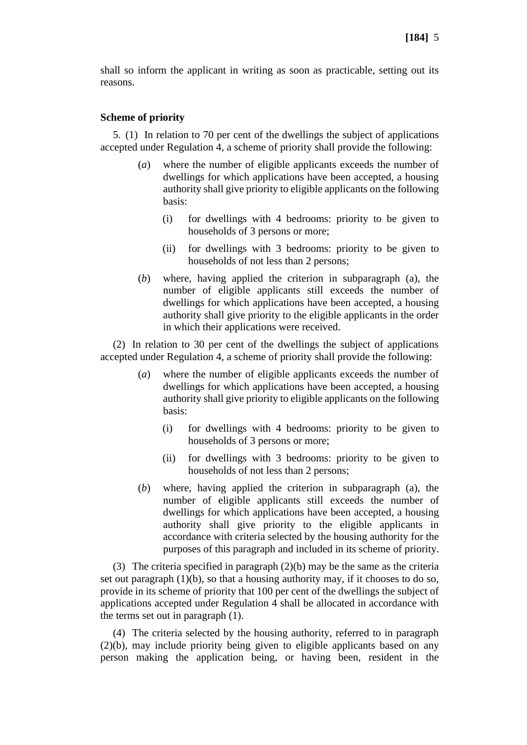shall so inform the applicant in writing as soon as practicable, setting out its reasons.

#### **Scheme of priority**

5. (1) In relation to 70 per cent of the dwellings the subject of applications accepted under Regulation 4, a scheme of priority shall provide the following:

- (*a*) where the number of eligible applicants exceeds the number of dwellings for which applications have been accepted, a housing authority shall give priority to eligible applicants on the following basis:
	- (i) for dwellings with 4 bedrooms: priority to be given to households of 3 persons or more;
	- (ii) for dwellings with 3 bedrooms: priority to be given to households of not less than 2 persons;
- (*b*) where, having applied the criterion in subparagraph (a), the number of eligible applicants still exceeds the number of dwellings for which applications have been accepted, a housing authority shall give priority to the eligible applicants in the order in which their applications were received.

(2) In relation to 30 per cent of the dwellings the subject of applications accepted under Regulation 4, a scheme of priority shall provide the following:

- (*a*) where the number of eligible applicants exceeds the number of dwellings for which applications have been accepted, a housing authority shall give priority to eligible applicants on the following basis:
	- (i) for dwellings with 4 bedrooms: priority to be given to households of 3 persons or more;
	- (ii) for dwellings with 3 bedrooms: priority to be given to households of not less than 2 persons;
- (*b*) where, having applied the criterion in subparagraph (a), the number of eligible applicants still exceeds the number of dwellings for which applications have been accepted, a housing authority shall give priority to the eligible applicants in accordance with criteria selected by the housing authority for the purposes of this paragraph and included in its scheme of priority.

(3) The criteria specified in paragraph (2)(b) may be the same as the criteria set out paragraph (1)(b), so that a housing authority may, if it chooses to do so, provide in its scheme of priority that 100 per cent of the dwellings the subject of applications accepted under Regulation 4 shall be allocated in accordance with the terms set out in paragraph (1).

(4) The criteria selected by the housing authority, referred to in paragraph (2)(b), may include priority being given to eligible applicants based on any person making the application being, or having been, resident in the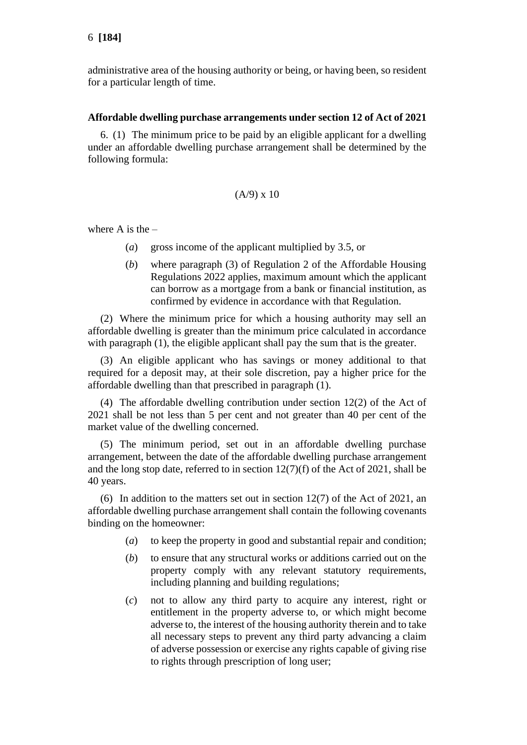administrative area of the housing authority or being, or having been, so resident for a particular length of time.

#### **Affordable dwelling purchase arrangements under section 12 of Act of 2021**

6. (1) The minimum price to be paid by an eligible applicant for a dwelling under an affordable dwelling purchase arrangement shall be determined by the following formula:

#### $(A/9)$  x 10

where  $A$  is the  $-$ 

- (*a*) gross income of the applicant multiplied by 3.5, or
- (*b*) where paragraph (3) of Regulation 2 of the Affordable Housing Regulations 2022 applies, maximum amount which the applicant can borrow as a mortgage from a bank or financial institution, as confirmed by evidence in accordance with that Regulation.

(2) Where the minimum price for which a housing authority may sell an affordable dwelling is greater than the minimum price calculated in accordance with paragraph (1), the eligible applicant shall pay the sum that is the greater.

(3) An eligible applicant who has savings or money additional to that required for a deposit may, at their sole discretion, pay a higher price for the affordable dwelling than that prescribed in paragraph (1).

(4) The affordable dwelling contribution under section 12(2) of the Act of 2021 shall be not less than 5 per cent and not greater than 40 per cent of the market value of the dwelling concerned.

(5) The minimum period, set out in an affordable dwelling purchase arrangement, between the date of the affordable dwelling purchase arrangement and the long stop date, referred to in section 12(7)(f) of the Act of 2021, shall be 40 years.

(6) In addition to the matters set out in section 12(7) of the Act of 2021, an affordable dwelling purchase arrangement shall contain the following covenants binding on the homeowner:

- (*a*) to keep the property in good and substantial repair and condition;
- (*b*) to ensure that any structural works or additions carried out on the property comply with any relevant statutory requirements, including planning and building regulations;
- (*c*) not to allow any third party to acquire any interest, right or entitlement in the property adverse to, or which might become adverse to, the interest of the housing authority therein and to take all necessary steps to prevent any third party advancing a claim of adverse possession or exercise any rights capable of giving rise to rights through prescription of long user;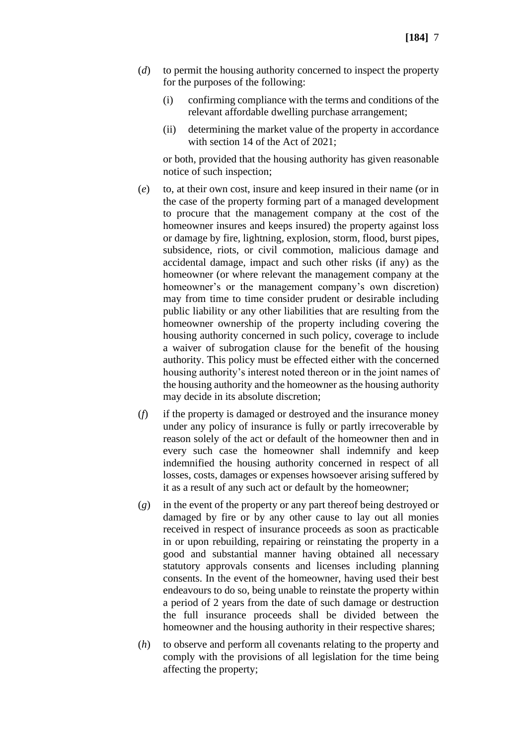- (*d*) to permit the housing authority concerned to inspect the property for the purposes of the following:
	- (i) confirming compliance with the terms and conditions of the relevant affordable dwelling purchase arrangement;
	- (ii) determining the market value of the property in accordance with section 14 of the Act of 2021:

or both, provided that the housing authority has given reasonable notice of such inspection;

- (*e*) to, at their own cost, insure and keep insured in their name (or in the case of the property forming part of a managed development to procure that the management company at the cost of the homeowner insures and keeps insured) the property against loss or damage by fire, lightning, explosion, storm, flood, burst pipes, subsidence, riots, or civil commotion, malicious damage and accidental damage, impact and such other risks (if any) as the homeowner (or where relevant the management company at the homeowner's or the management company's own discretion) may from time to time consider prudent or desirable including public liability or any other liabilities that are resulting from the homeowner ownership of the property including covering the housing authority concerned in such policy, coverage to include a waiver of subrogation clause for the benefit of the housing authority. This policy must be effected either with the concerned housing authority's interest noted thereon or in the joint names of the housing authority and the homeowner as the housing authority may decide in its absolute discretion;
- (*f*) if the property is damaged or destroyed and the insurance money under any policy of insurance is fully or partly irrecoverable by reason solely of the act or default of the homeowner then and in every such case the homeowner shall indemnify and keep indemnified the housing authority concerned in respect of all losses, costs, damages or expenses howsoever arising suffered by it as a result of any such act or default by the homeowner;
- (*g*) in the event of the property or any part thereof being destroyed or damaged by fire or by any other cause to lay out all monies received in respect of insurance proceeds as soon as practicable in or upon rebuilding, repairing or reinstating the property in a good and substantial manner having obtained all necessary statutory approvals consents and licenses including planning consents. In the event of the homeowner, having used their best endeavours to do so, being unable to reinstate the property within a period of 2 years from the date of such damage or destruction the full insurance proceeds shall be divided between the homeowner and the housing authority in their respective shares;
- (*h*) to observe and perform all covenants relating to the property and comply with the provisions of all legislation for the time being affecting the property;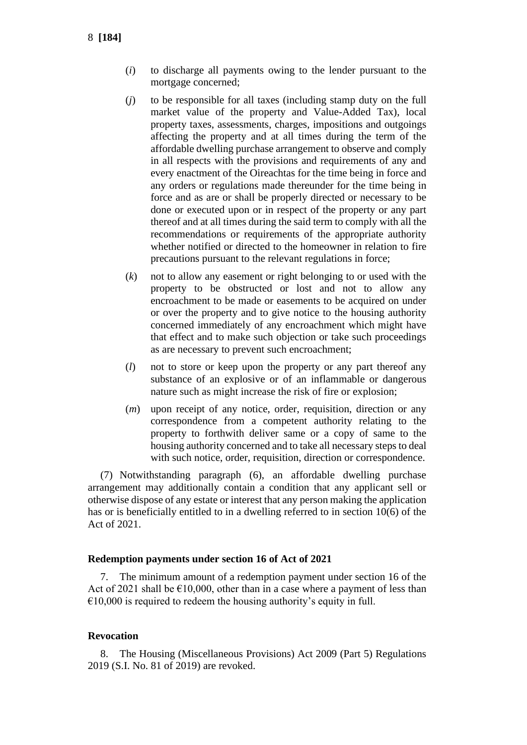- (*i*) to discharge all payments owing to the lender pursuant to the mortgage concerned;
- (*j*) to be responsible for all taxes (including stamp duty on the full market value of the property and Value-Added Tax), local property taxes, assessments, charges, impositions and outgoings affecting the property and at all times during the term of the affordable dwelling purchase arrangement to observe and comply in all respects with the provisions and requirements of any and every enactment of the Oireachtas for the time being in force and any orders or regulations made thereunder for the time being in force and as are or shall be properly directed or necessary to be done or executed upon or in respect of the property or any part thereof and at all times during the said term to comply with all the recommendations or requirements of the appropriate authority whether notified or directed to the homeowner in relation to fire precautions pursuant to the relevant regulations in force;
- (*k*) not to allow any easement or right belonging to or used with the property to be obstructed or lost and not to allow any encroachment to be made or easements to be acquired on under or over the property and to give notice to the housing authority concerned immediately of any encroachment which might have that effect and to make such objection or take such proceedings as are necessary to prevent such encroachment;
- (*l*) not to store or keep upon the property or any part thereof any substance of an explosive or of an inflammable or dangerous nature such as might increase the risk of fire or explosion;
- (*m*) upon receipt of any notice, order, requisition, direction or any correspondence from a competent authority relating to the property to forthwith deliver same or a copy of same to the housing authority concerned and to take all necessary steps to deal with such notice, order, requisition, direction or correspondence.

(7) Notwithstanding paragraph (6), an affordable dwelling purchase arrangement may additionally contain a condition that any applicant sell or otherwise dispose of any estate or interest that any person making the application has or is beneficially entitled to in a dwelling referred to in section 10(6) of the Act of 2021.

#### **Redemption payments under section 16 of Act of 2021**

7. The minimum amount of a redemption payment under section 16 of the Act of 2021 shall be  $\epsilon$ 10,000, other than in a case where a payment of less than  $€10,000$  is required to redeem the housing authority's equity in full.

#### **Revocation**

8. The Housing (Miscellaneous Provisions) Act 2009 (Part 5) Regulations 2019 (S.I. No. 81 of 2019) are revoked.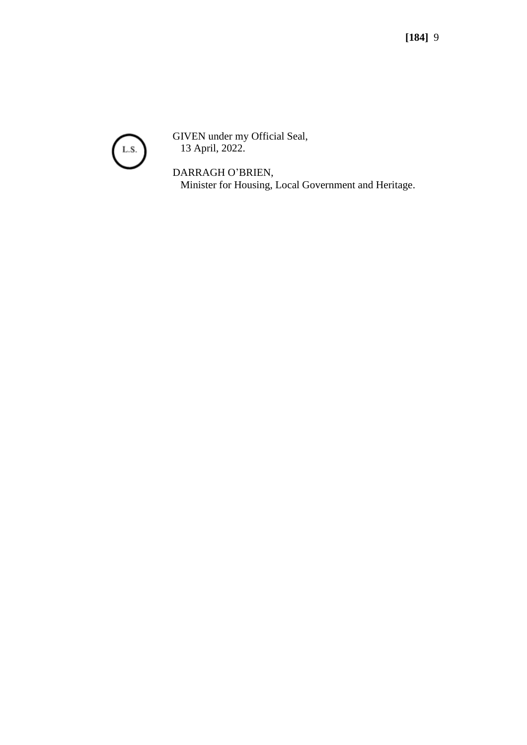

GIVEN under my Official Seal, 13 April, 2022.

DARRAGH O'BRIEN, Minister for Housing, Local Government and Heritage.